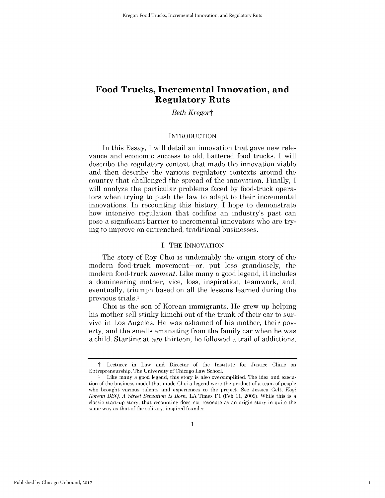## *Beth Kregort*

## **INTRODUCTION**

In this Essay, I will detail an innovation that gave new relevance and economic success to old, battered food trucks. I will describe the regulatory context that made the innovation viable and then describe the various regulatory contexts around the country that challenged the spread of the innovation. Finally, I will analyze the particular problems faced by food-truck operators when trying to push the law to adapt to their incremental innovations. In recounting this history, I hope to demonstrate how intensive regulation that codifies an industry's past can pose a significant barrier to incremental innovators who are trying to improve on entrenched, traditional businesses.

## I. THE INNOVATION

The story of Roy Choi is undeniably the origin story of the modern food-truck movement-or, put less grandiosely, the modern food-truck *moment.* Like many a good legend, it includes a domineering mother, vice, loss, inspiration, teamwork, and, eventually, triumph based on all the lessons learned during the previous trials.1

Choi is the son of Korean immigrants. He grew up helping his mother sell stinky kimchi out of the trunk of their car to survive in Los Angeles. He was ashamed of his mother, their poverty, and the smells emanating from the family car when he was a child. Starting at age thirteen, he followed a trail of addictions,

t Lecturer in Law and Director of the Institute for Justice Clinic on Entrepreneurship, The University of Chicago Law School.

<sup>1</sup> Like many a good legend, this story is also oversimplified. The idea and execution of the business model that made Choi a legend were the product of a team of people who brought various talents and experiences to the project. See Jessica Gelt, *Kogi Korean BBQ, A Street Sensation Is Born,* LA Times F1 (Feb 11, 2009). While this is a classic start-up story, that recounting does not resonate as an origin story in quite the same way as that of the solitary, inspired founder.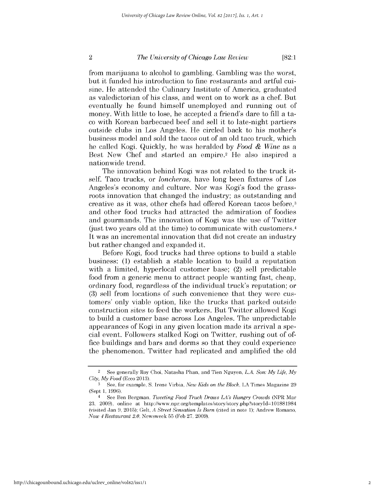**[82:1**

from marijuana to alcohol to gambling. Gambling was the worst, but it funded his introduction to fine restaurants and artful cuisine. He attended the Culinary Institute of America, graduated as valedictorian of his class, and went on to work as a chef. But eventually he found himself unemployed and running out of money. With little to lose, he accepted a friend's dare to fill a taco with Korean barbecued beef and sell it to late-night partiers outside clubs in Los Angeles. He circled back to his mother's business model and sold the tacos out of an old taco truck, which he called Kogi. Quickly, he was heralded by *Food & Wine* as a Best New Chef and started an empire.<sup>2</sup> He also inspired a nationwide trend.

The innovation behind Kogi was not related to the truck itself. Taco trucks, or *loncheras,* have long been fixtures of Los Angeles's economy and culture. Nor was Kogi's food the grassroots innovation that changed the industry; as outstanding and creative as it was, other chefs had offered Korean tacos before,<sup>3</sup> and other food trucks had attracted the admiration of foodies and gourmands. The innovation of Kogi was the use of Twitter (just two years old at the time) to communicate with customers. <sup>4</sup> It was an incremental innovation that did not create an industry but rather changed and expanded it.

Before Kogi, food trucks had three options to build a stable business: (1) establish a stable location to build a reputation with a limited, hyperlocal customer base; (2) sell predictable food from a generic menu to attract people wanting fast, cheap, ordinary food, regardless of the individual truck's reputation; or (3) sell from locations of such convenience that they were customers' only viable option, like the trucks that parked outside construction sites to feed the workers. But Twitter allowed Kogi to build a customer base across Los Angeles. The unpredictable appearances of Kogi in any given location made its arrival a special event. Followers stalked Kogi on Twitter, rushing out of office buildings and bars and dorms so that they could experience the phenomenon. Twitter had replicated and amplified the old

 $\overline{2}$ 

<sup>2</sup>See generally Roy Choi, Natasha Phan, and Tien Nguyen, *L.A. Son: My Life, My City, My Food* (Ecco 2013).

**<sup>3</sup>** See, for example, S. Irene Virbia, *New Kids on the Block,* LA Times Magazine 29 (Sept 1, 1996).

<sup>4</sup>See Ben Bergman, *Tweeting Food Truck Draws LA's Hungry Crowds* (NPR Mar 23, 2009), online at http://www.npr.org/templates/story/story.php?storyId=101881984 (visited Jan 9, 2015); Gelt, *A Street Sensation Is Born* (cited in note 1); Andrew Romano, *Now 4 Restaurant 2.0,* Newsweek 55 (Feb 27, 2009).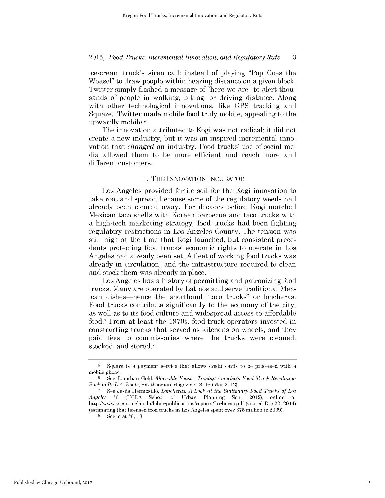ice-cream truck's siren call: instead of playing "Pop Goes the Weasel" to draw people within hearing distance on a given block, Twitter simply flashed a message of "here we are" to alert thousands of people in walking, biking, or driving distance. Along with other technological innovations, like GPS tracking and Square,5 Twitter made mobile food truly mobile, appealing to the upwardly mobile.6

The innovation attributed to Kogi was not radical; it did not create a new industry, but it was an inspired incremental innovation that *changed* an industry. Food trucks' use of social media allowed them to be more efficient and reach more and different customers.

## II. THE INNOVATION INCUBATOR

Los Angeles provided fertile soil for the Kogi innovation to take root and spread, because some of the regulatory weeds had already been cleared away. For decades before Kogi matched Mexican taco shells with Korean barbecue and taco trucks with a high-tech marketing strategy, food trucks had been fighting regulatory restrictions in Los Angeles County. The tension was still high at the time that Kogi launched, but consistent precedents protecting food trucks' economic rights to operate in Los Angeles had already been set. A fleet of working food trucks was already in circulation, and the infrastructure required to clean and stock them was already in place.

Los Angeles has a history of permitting and patronizing food trucks. Many are operated by Latinos and serve traditional Mexican dishes-hence the shorthand "taco trucks" or loncheras. Food trucks contribute significantly to the economy of the city, as well as to its food culture and widespread access to affordable food.<sup>7</sup> From at least the 1970s, food-truck operators invested in constructing trucks that served as kitchens on wheels, and they paid fees to commissaries where the trucks were cleaned, stocked, and stored.8

<sup>5</sup>Square is a payment service that allows credit cards to be processed with a mobile phone.

<sup>6</sup>See Jonathan Gold, *Moveable Feasts: Tracing America's Food Truck Revolution Back to Its L.A. Roots,* Smithsonian Magazine 18-19 (Mar 2012).

**<sup>5</sup>**See Jesús Hermosillo, *Loncheras: A Look at the Stationary Food Trucks of Los Angeles* \*6 (UCLA School of Urban Planning Sept 2012), online at http://www.sscnet.ucla.edu/labor/publications/reports/Locheras.pdf (visited Dec 22, 2014) (estimating that licensed food trucks in Los Angeles spent over \$75 million in 2009).

See id at \*6, 18.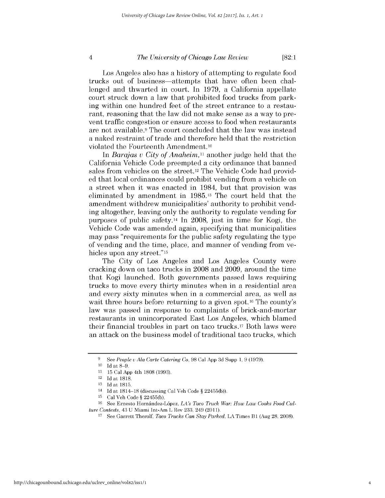**[82:1**

Los Angeles also has a history of attempting to regulate food trucks out of business-attempts that have often been challenged and thwarted in court. In 1979, a California appellate court struck down a law that prohibited food trucks from parking within one hundred feet of the street entrance to a restaurant, reasoning that the law did not make sense as a way to prevent traffic congestion or ensure access to food when restaurants are not available.9 The court concluded that the law was instead a naked restraint of trade and therefore held that the restriction violated the Fourteenth Amendment.10

In *Barajas v City of Anaheim,11* another judge held that the California Vehicle Code preempted a city ordinance that banned sales from vehicles on the street.<sup>12</sup> The Vehicle Code had provided that local ordinances could prohibit vending from a vehicle on a street when it was enacted in 1984, but that provision was eliminated by amendment in 1985.13 The court held that the amendment withdrew municipalities' authority to prohibit vending altogether, leaving only the authority to regulate vending for purposes of public safety.14 In 2008, just in time for Kogi, the Vehicle Code was amended again, specifying that municipalities may pass "requirements for the public safety regulating the type of vending and the time, place, and manner of vending from vehicles upon any street."<sup>15</sup>

The City of Los Angeles and Los Angeles County were cracking down on taco trucks in 2008 and 2009, around the time that Kogi launched. Both governments passed laws requiring trucks to move every thirty minutes when in a residential area and every sixty minutes when in a commercial area, as well as wait three hours before returning to a given spot.<sup>16</sup> The county's law was passed in response to complaints of brick-and-mortar restaurants in unincorporated East Los Angeles, which blamed their financial troubles in part on taco trucks.17 Both laws were an attack on the business model of traditional taco trucks, which

 $\overline{4}$ 

<sup>9</sup> See *People* v *Ala Carte Catering Co,* 98 Cal App 3d Supp 1, 9 (1979).

<sup>&</sup>lt;sup>10</sup> Id at 8-9.

<sup>11 15</sup> Cal App 4th 1808 (1993).

 $12$  Id at 1818.

<sup>13</sup> Id at 1815.

<sup>&</sup>lt;sup>14</sup> Id at 1814-18 (discussing Cal Veh Code § 22455(b)).

 $15$  Cal Veh Code § 22455(b).

<sup>&</sup>lt;sup>16</sup> See Ernesto Hernández-López, *LA's Taco Truck War: How Law Cooks Food Culture Contests,* 43 U Miami Int-Am L Rev 233, 249 (2011).

See Garrett Therolf, *Taco Trucks Can Stay Parked*, LA Times B1 (Aug 28, 2008).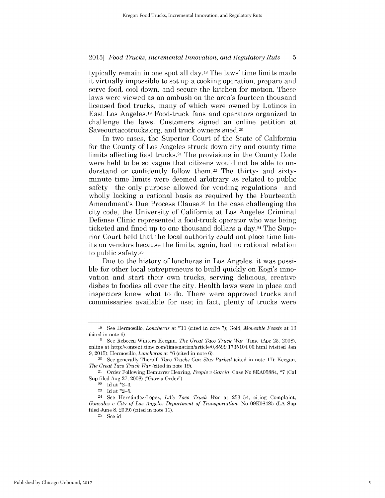typically remain in one spot all day.18 The laws' time limits made it virtually impossible to set up a cooking operation, prepare and serve food, cool down, and secure the kitchen for motion. These laws were viewed as an ambush on the area's fourteen thousand licensed food trucks, many of which were owned by Latinos in East Los Angeles.19 Food-truck fans and operators organized to challenge the laws. Customers signed an online petition at Saveourtacotrucks.org, and truck owners sued.20

In two cases, the Superior Court of the State of California for the County of Los Angeles struck down city and county time limits affecting food trucks.21 The provisions in the County Code were held to be so vague that citizens would not be able to understand or confidently follow them.22 The thirty- and sixtyminute time limits were deemed arbitrary as related to public safety—the only purpose allowed for vending regulations—and wholly lacking a rational basis as required by the Fourteenth Amendment's Due Process Clause.<sup>23</sup> In the case challenging the city code, the University of California at Los Angeles Criminal Defense Clinic represented a food-truck operator who was being ticketed and fined up to one thousand dollars a day.<sup>24</sup> The Superior Court held that the local authority could not place time **lim**its on vendors because the limits, again, had no rational relation to public safety.25

Due to the history of loncheras in Los Angeles, it was possible for other local entrepreneurs to build quickly on Kogi's innovation and start their own trucks, serving delicious, creative dishes to foodies all over the city. Health laws were in place and inspectors knew what to do. There were approved trucks and commissaries available for use; in fact, plenty of trucks were

<sup>18</sup>See Hermosillo, *Loncheras at* \*11 (cited in note 7); Gold, *Moveable Feasts* at 19 (cited in note 6).

<sup>19</sup> See Rebecca Winters Keegan, *The Great Taco Truck War,* Time (Apr 25, 2008), online at http://content.time.com/time/nation/article/0,8599,1735 104,00.html (visited Jan 9, 2015); Hermosillo, *Loncheras* at \*6 (cited in note 6).

<sup>&</sup>lt;sup>20</sup> See generally Therolf, *Taco Trucks Can Stay Parked* (cited in note 17); Keegan, *The Great Taco Truck War* (cited in note 19).

<sup>21</sup>Order Following Demurrer Hearing, *People v Garcia,* Case No 8EA05884, \*7 (Cal Sup filed Aug 27, 2008) ("Garcia Order").

 $22$  Id at  $*2-3$ .

 $23$  Id at  $*2-5$ .

<sup>24</sup>See Hernindez-Lopez, *LA's Taco Truck War* at 253-54, citing Complaint, *Gonzalez v* City *of Los Angeles Department of Transportation,* No 09K08485 (LA Sup filed June 8, 2009) (cited in note 16).

 $25$  See id.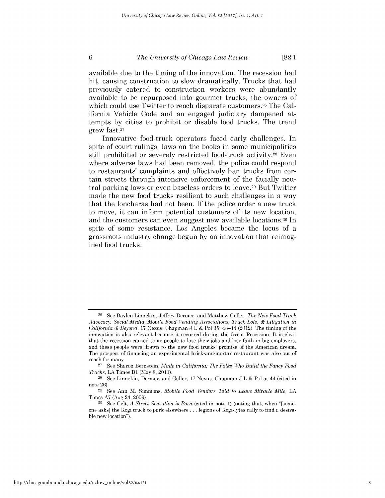**[82:1**

available due to the timing of the innovation. The recession had hit, causing construction to slow dramatically. Trucks that had previously catered to construction workers were abundantly available to be repurposed into gourmet trucks, the owners of which could use Twitter to reach disparate customers.<sup>26</sup> The California Vehicle Code and an engaged judiciary dampened attempts by cities to prohibit or disable food trucks. The trend grew fast.27

Innovative food-truck operators faced early challenges. In spite of court rulings, laws on the books in some municipalities still prohibited or severely restricted food-truck activity.<sup>28</sup> Even where adverse laws had been removed, the police could respond to restaurants' complaints and effectively ban trucks from certain streets through intensive enforcement of the facially neutral parking laws or even baseless orders to leave.29 But Twitter made the new food trucks resilient to such challenges in a way that the loncheras had not been. If the police order a new truck to move, it can inform potential customers of its new location, and the customers can even suggest new available locations.30 In spite of some resistance, Los Angeles became the locus of a grassroots industry change begun by an innovation that reimagined food trucks.

<sup>26</sup> See Baylen Linnekin, Jeffrey Dermer, and Matthew Geller, *The New Food Truck Advocacy: Social Media, Mobile Food Vending Associations, Truck Lots, & Litigation in California & Beyond,* 17 Nexus: Chapman J L & Pol 35, 43-44 (2012). The timing of the innovation is also relevant because it occurred during the Great Recession. It is clear that the recession caused some people to lose their jobs and lose faith in big employers, and these people were drawn to the new food trucks' promise of the American dream. The prospect of financing an experimental brick-and-mortar restaurant was also out of reach for many.

<sup>27</sup> See Sharon Bernstein, *Made in California; The Folks Who Build the Fancy Food Trucks, LA Times B1 (May 8, 2011).* 

<sup>28</sup> See Linnekin, Dermer, and Geller, 17 Nexus: Chapman J L & Pol at 44 (cited in note 26).

<sup>29</sup> See Ann M. Simmons, *Mobile Food Vendors Told to Leave Miracle Mile,* LA Times A7 (Aug 24, 2009).

**<sup>30</sup>** See Gelt, *A Street Sensation is Born* (cited in note 1) (noting that, when "[someone asks] the Kogi truck to park elsewhere **...** legions of Kogi-lytes rally to find a desirable new location").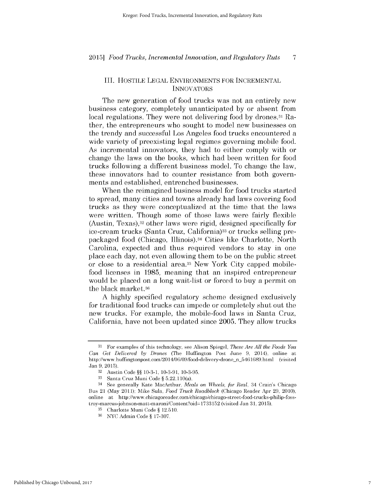## III. HOSTILE LEGAL ENVIRONMENTS FOR INCREMENTAL **INNOVATORS**

The new generation of food trucks was not an entirely new business category, completely unanticipated by or absent from local regulations. They were not delivering food by drones.<sup>31</sup> Rather, the entrepreneurs who sought to model new businesses on the trendy and successful Los Angeles food trucks encountered a wide variety of preexisting legal regimes governing mobile food. As incremental innovators, they had to either comply with or change the laws on the books, which had been written for food trucks following a different business model. To change the law, these innovators had to counter resistance from both governments and established, entrenched businesses.

When the reimagined business model for food trucks started to spread, many cities and towns already had laws covering food trucks as they were conceptualized at the time that the laws were written. Though some of those laws were fairly flexible (Austin, Texas),32 other laws were rigid, designed specifically for ice-cream trucks (Santa Cruz, California)33 or trucks selling prepackaged food (Chicago, Illinois).34 Cities like Charlotte, North Carolina, expected and thus required vendors to stay in one place each day, not even allowing them to be on the public street or close to a residential area.<sup>35</sup> New York City capped mobilefood licenses in 1985, meaning that an inspired entrepreneur would be placed on a long wait-list or forced to buy a permit on the black market.36

A highly specified regulatory scheme designed exclusively for traditional food trucks can impede or completely shut out the new trucks. For example, the mobile-food laws in Santa Cruz, California, have not been updated since 2005. They allow trucks

<sup>31</sup> For examples of this technology, see Alison Spiegel, *These Are All the Foods You Can Get Delivered by Drones* (The Huffington Post June 9, 2014), online at http://www.huffingtonpost.com/2014/06/09/food-delivery-drone n 5461689.html (visited Jan 9, 2015).

<sup>32</sup> Austin Code §§ 10-3-1, 10-3-91, 10-3-95.

**<sup>33</sup>**Santa Cruz Muni Code § 5.22.110(a).

<sup>34</sup>See generally Kate MacArthur, *Meals on Wheels, for Real,* 34 Crain's Chicago Bus 21 (May 2011); Mike Sula, *Food Truck Roadblock* (Chicago Reader Apr 29, 2010), online at http://www.chicagoreader.com/chicago/chicago-street-food-trucks-philip-fosstroy-marcus-johnson-matt-maroni/Content?oid 1733152 (visited Jan 31, 2015).

<sup>&</sup>lt;sup>35</sup> Charlotte Muni Code § 12.510.

<sup>&</sup>lt;sup>36</sup> NYC Admin Code § 17-307.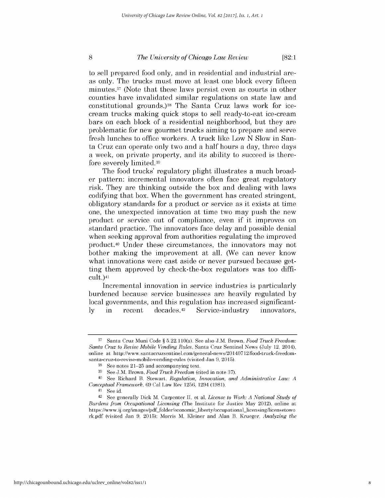**[82:1**

to sell prepared food only, and in residential and industrial areas only. The trucks must move at least one block every fifteen minutes. <sup>3</sup>1 (Note that these laws persist even as courts in other counties have invalidated similar regulations on state law and constitutional grounds.)38 The Santa Cruz laws work for icecream trucks making quick stops to sell ready-to-eat ice-cream bars on each block of a residential neighborhood, but they are problematic for new gourmet trucks aiming to prepare and serve fresh lunches to office workers. A truck like Low N Slow in Santa Cruz can operate only two and a half hours a day, three days a week, on private property, and its ability to succeed is therefore severely limited.39

The food trucks' regulatory plight illustrates a much broader pattern: incremental innovators often face great regulatory risk. They are thinking outside the box and dealing with laws codifying that box. When the government has created stringent, obligatory standards for a product or service as it exists at time one, the unexpected innovation at time two may push the new product or service out of compliance, even if it improves on standard practice. The innovators face delay and possible denial when seeking approval from authorities regulating the improved product.40 Under these circumstances, the innovators may not bother making the improvement at all. (We can never know what innovations were cast aside or never pursued because getting them approved by check-the-box regulators was too difficult.)41

Incremental innovation in service industries is particularly burdened because service businesses are heavily regulated by local governments, and this regulation has increased significantly in recent decades.42 Service -industry innovators,

**<sup>37</sup>**Santa Cruz Muni Code § 5.22.110(a). See also J.M. Brown, *Food Truck Freedom: Santa Cruz to Revise Mobile Vending Rules,* Santa Cruz Sentinel News (July 12, 2014), online at http://www.santacruzsentinel.com/general-news/20140712/food-truck-freedomsanta-cruz-to-revise-mobile-vending-rules (visited Jan 9, 2015).

**<sup>38</sup>**See notes 21-25 and accompanying text.

**<sup>39</sup>**See J.M. Brown, *Food Truck Freedom* (cited in note 37).

<sup>40</sup>See Richard B. Stewart, *Regulation, Innovation, and Administrative Law: A Conceptual Framework,* 69 Cal Law Rev 1256, 1294 (1981).

<sup>41</sup> See id.

<sup>42</sup>See generally Dick M. Carpenter II, et al, *License to Work: A National Study of Burdens from Occupational Licensing* (The Institute for Justice May 2012), online at https://www.ij.org/images/pdf folder/economic-liberty/occupational *-* licensing/licensetowo rk.pdf (visited Jan 9, 2015); Morris M. Kleiner and Alan B. Krueger, *Analyzing the*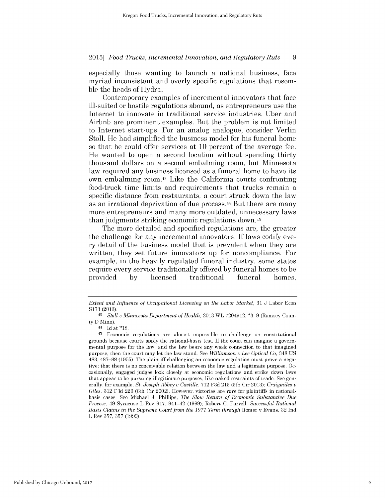especially those wanting to launch a national business, face myriad inconsistent and overly specific regulations that resemble the heads of Hydra.

Contemporary examples of incremental innovators that face ill-suited or hostile regulations abound, as entrepreneurs use the Internet to innovate in traditional service industries. Uber and Airbnb are prominent examples. But the problem is not limited to Internet start-ups. For an analog analogue, consider Verlin Stoll. He had simplified the business model for his funeral home so that he could offer services at 10 percent of the average fee. He wanted to open a second location without spending thirty thousand dollars on a second embalming room, but Minnesota law required any business licensed as a funeral home to have its own embalming room.<sup>43</sup> Like the California courts confronting food-truck time limits and requirements that trucks remain a specific distance from restaurants, a court struck down the law as an irrational deprivation of due process.<sup>44</sup> But there are many more entrepreneurs and many more outdated, unnecessary laws than judgments striking economic regulations down.45

The more detailed and specified regulations are, the greater the challenge for any incremental innovators. If laws codify every detail of the business model that is prevalent when they are written, they set future innovators up for noncompliance. For example, in the heavily regulated funeral industry, some states require every service traditionally offered by funeral homes to be provided by licensed traditional funeral homes,

*Extent and Influence of Occupational Licensing on the Labor Market,* 31 J Labor Econ S173 (2013).

*<sup>43</sup> Stoll v Minnesota Department of Health,* 2013 WL 7204912, **\*3,** 9 (Ramsey County D Minn).

<sup>44</sup> Id at \*18.

<sup>45</sup>Economic regulations are almost impossible to challenge on constitutional grounds because courts apply the rational-basis test. If the court can imagine a governmental purpose for the law, and the law bears any weak connection to that imagined purpose, then the court may let the law stand. See *Williamson v Lee Optical Co,* 348 US 483, 487-88 (1955). The plaintiff challenging an economic regulation must prove a negative: that there is no conceivable relation between the law and a legitimate purpose. Occasionally, engaged judges look closely at economic regulations and strike down laws that appear to be pursuing illegitimate purposes, like naked restraints of trade. See generally, for example, *St. Joseph Abbey v Castille,* 712 F3d 215 (5th Cir 2013); *Craigmiles v Giles,* 312 F3d 220 (6th Cir 2002). However, victories are rare for plaintiffs in rationalbasis cases. See Michael J. Phillips, *The Slow Return of Economic Substantive Due Process,* 49 Syracuse L Rev 917, 941-42 (1999); Robert C. Farrell, *Successful Rational Basis Claims in the Supreme Court from the 1971 Term through* Romer v Evans, 32 Ind L Rev 357, 357 (1999).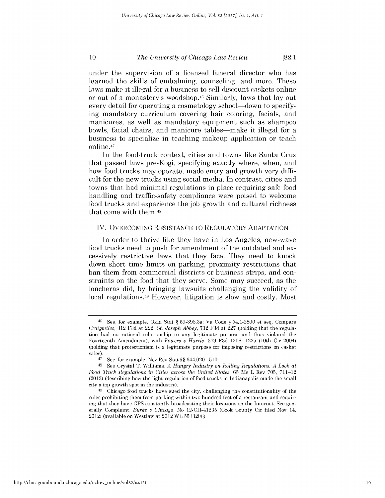under the supervision of a licensed funeral director who has learned the skills of embalming, counseling, and more. These laws make it illegal for a business to sell discount caskets online or out of a monastery's woodshop.46 Similarly, laws that lay out every detail for operating a cosmetology school—down to specifying mandatory curriculum covering hair coloring, facials, and manicures, as well as mandatory equipment such as shampoo bowls, facial chairs, and manicure tables—make it illegal for a business to specialize in teaching makeup application or teach online.41

In the food-truck context, cities and towns like Santa Cruz that passed laws pre-Kogi, specifying exactly where, when, and how food trucks may operate, made entry and growth very **diffi**cult for the new trucks using social media. In contrast, cities and towns that had minimal regulations in place requiring safe food handling and traffic-safety compliance were poised to welcome food trucks and experience the job growth and cultural richness that come with them.48

## IV. OVERCOMING **RESISTANCE** TO REGULATORY **ADAPTATION**

In order to thrive like they have in Los Angeles, new-wave food trucks need to push for amendment of the outdated and excessively restrictive laws that they face. They need to knock down short time limits on parking, proximity restrictions that ban them from commercial districts or business strips, and constraints on the food that they serve. Some may succeed, as the loncheras **did, by** bringing lawsuits challenging the validity of local regulations.<sup>49</sup> However, litigation is slow and costly. Most

http://chicagounbound.uchicago.edu/uclrev\_online/vol82/iss1/1

**<sup>46</sup>See,** for example, Okla Stat **§** 59-396.3a; Va Code **§** 54.1-2800 et seq. Compare *Craigmiles,* **312 F3d** at 222; *St. Joseph Abbey,* **712 F3d** at **227** (holding that the regulation had no rational relationship to any legitimate purpose and thus violated the Fourteenth Amendment), with *Powers u Harris,* **379 F3d** 1208, **1225** (10th Cir 2004) (holding that protectionism is a legitimate purpose for imposing restrictions on casket sales).

**<sup>47</sup>See,** for example, Nev Rev Stat **§§** 644.020-.510.

**<sup>48</sup>See** Crystal T. Williams, *A Hungry Industry on Rolling Regulations: A Look at Food Truck Regulations in Cities across the United States,* **65** Me L Rev **705, 711-12 (2013)** (describing how the light regulation of food trucks in Indianapolis made the small city a top growth spot in the industry).

**<sup>49</sup>**Chicago food trucks have sued the city, challenging the constitutionality of the rules prohibiting them from parking within two hundred feet of a restaurant and requiring that they have **GPS** constantly broadcasting their locations on the Internet. See generally Complaint, *Burke u Chicago,* No 12-CH-41235 (Cook County Cir filed Nov 14, 2012) (available on Westlaw at 2012 WL **5513206).**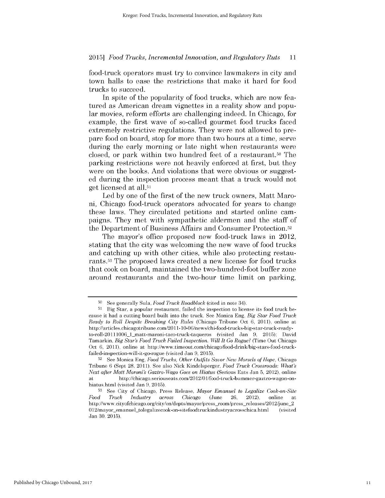food-truck operators must try to convince lawmakers in city and town halls to ease the restrictions that make it hard for food trucks to succeed.

In spite of the popularity of food trucks, which are now featured as American dream vignettes in a reality show and popular movies, reform efforts are challenging indeed. In Chicago, for example, the first wave of so-called gourmet food trucks faced extremely restrictive regulations. They were not allowed to prepare food on board, stop for more than two hours at a time, serve during the early morning or late night when restaurants were closed, or park within two hundred feet of a restaurant.<sup>50</sup> The parking restrictions were not heavily enforced at first, but they were on the books. And violations that were obvious or suggested during the inspection process meant that a truck would not get licensed at all.51

Led by one of the first of the new truck owners, Matt Maroni, Chicago food-truck operators advocated for years to change these laws. They circulated petitions and started online campaigns. They met with sympathetic aldermen and the staff of the Department of Business Affairs and Consumer Protection.52

The mayor's office proposed new food-truck laws in 2012, stating that the city was welcoming the new wave of food trucks and catching up with other cities, while also protecting restaurants.<sup>53</sup> The proposed laws created a new license for food trucks that cook on board, maintained the two-hundred-foot buffer zone around restaurants and the two-hour time limit on parking,

<sup>50</sup>See generally Sula, *Food Truck Roadblock* (cited in note 34).

<sup>51</sup> Big Star, a popular restaurant, failed the inspection to license its food truck because it had a cutting board built into the truck. See Monica Eng, *Big Star Food Truck Ready to Roll Despite Breaking City Rules* (Chicago Tribune Oct 6, 2011), online at http://articles.chicagotribune.com/2011- 10-06/news/chi-food-trucks-big-star-truck-readyto-roll-20111006\_lmatt-maroni-taco-truck-taqueros (visited Jan 9, 2015); David Tamarkin, *Big Star's Food Truck Failed Inspection. Will It Go Rogue?* (Time Out Chicago Oct 6, 2011), online at http://www.timeout.com/chicago/food-drink/big-stars-food-truckfailed-inspection-will-it-go-rogue (visited Jan 9, 2015).

<sup>52</sup> See Monica Eng, *Food Trucks, Other Outfits Savor New Morsels of Hope, Chicago* Tribune 6 (Sept 28, 2011). See also Nick Kindelsperger, *Food Truck Crossroads: What's Next after Matt Moroni's Gaztro-Wago Goes on Hiatus* (Serious Eats Jan 5, 2012), online http://chicago.seriouseats.com/2012/01/food-truck-bummer-gaztro-wagon-onhiatus.html (visited Jan 9, 2015).

**<sup>53</sup>**See City of Chicago, Press Release, *Mayor Emanuel to Legalize Cook-on-Site Food Truck Industry across Chicago* (June 26, 2012), online at http://www.cityofchicago.org/city/en/depts/mayor/press-room/press-releases/20 12/june-2 012/mayor-emanuel tolegalizecook-on-sitefoodtruckindustryacrosschica.html (visited Jan 30, 2015).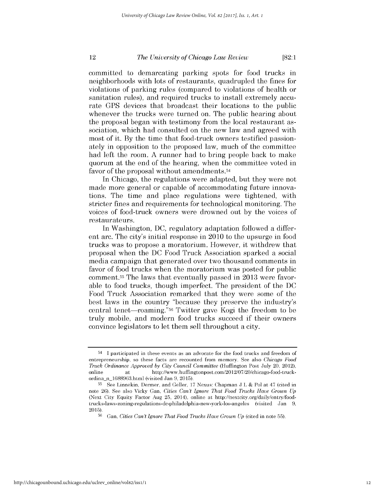committed to demarcating parking spots for food trucks in neighborhoods with lots of restaurants, quadrupled the fines for violations of parking rules (compared to violations of health or sanitation rules), and required trucks to install extremely accurate GPS devices that broadcast their locations to the public whenever the trucks were turned on. The public hearing about the proposal began with testimony from the local restaurant association, which had consulted on the new law and agreed with most of it. By the time that food-truck owners testified passionately in opposition to the proposed law, much of the committee had left the room. A runner had to bring people back to make quorum at the end of the hearing, when the committee voted in favor of the proposal without amendments.54

In Chicago, the regulations were adapted, but they were not made more general or capable of accommodating future innovations. The time and place regulations were tightened, with stricter fines and requirements for technological monitoring. The voices of food-truck owners were drowned out by the voices of restaurateurs.

In Washington, DC, regulatory adaptation followed a different arc. The city's initial response in 2010 to the upsurge in food trucks was to propose a moratorium. However, it withdrew that proposal when the DC Food Truck Association sparked a social media campaign that generated over two thousand comments in favor of food trucks when the moratorium was posted for public comment.<sup>55</sup> The laws that eventually passed in 2013 were favorable to food trucks, though imperfect. The president of the DC Food Truck Association remarked that they were some of the best laws in the country "because they preserve the industry's central tenet-roaming."56 Twitter gave Kogi the freedom to be truly mobile, and modern food trucks succeed if their owners convince legislators to let them sell throughout a city.

<sup>&</sup>lt;sup>54</sup> I participated in these events as an advocate for the food trucks and freedom of entrepreneurship, so these facts are recounted from memory. See also *Chicago Food Truck Ordinance Approved by City Council Committee* (Huffington Post July 20, 2012), online at http://www.huffingtonpost.com/2012/07/20/chicago-food-truckordina n 1688963.html (visited Jan 9, 2015).

**<sup>55</sup>**See Linnekin, Dermer, and Geller, 17 Nexus: Chapman J L & Pol at 47 (cited in note 26). See also Vicky Gan, *Cities Can't Ignore That Food Trucks Have Grown Up* (Next City Equity Factor Aug 25, 2014), online at http://nextcity.org/daily/entry/foodtrucks-laws-zoning-regulations-dc-philadelphia-new-york-los-angeles (visited Jan 9, 2015).

**<sup>56</sup>**Gan, *Cities Can't Ignore That Food Trucks Have Grown Up* (cited in note 55).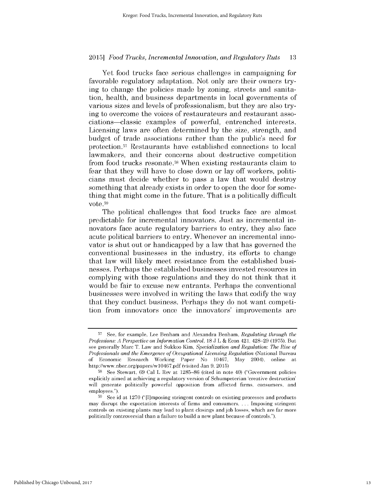Yet food trucks face serious challenges in campaigning for favorable regulatory adaptation. Not only are their owners trying to change the policies made by zoning, streets and sanitation, health, and business departments in local governments of various sizes and levels of professionalism, but they are also trying to overcome the voices of restaurateurs and restaurant associations-classic examples of powerful, entrenched interests. Licensing laws are often determined by the size, strength, and budget of trade associations rather than the public's need for protection. <sup>5</sup>7 Restaurants have established connections to local lawmakers, and their concerns about destructive competition from food trucks resonate.<sup>58</sup>When existing restaurants claim to fear that they will have to close down or lay off workers, politicians must decide whether to pass a law that would destroy something that already exists in order to open the door for something that might come in the future. That is a politically difficult vote. <sup>59</sup>

The political challenges that food trucks face are almost predictable for incremental innovators. Just as incremental innovators face acute regulatory barriers to entry, they also face acute political barriers to entry. Whenever an incremental innovator is shut out or handicapped by a law that has governed the conventional businesses in the industry, its efforts to change that law will likely meet resistance from the established businesses. Perhaps the established businesses invested resources in complying with those regulations and they do not think that it would be fair to excuse new entrants. Perhaps the conventional businesses were involved in writing the laws that codify the way that they conduct business. Perhaps they do not want competition from innovators once the innovators' improvements are

**<sup>57</sup>** See, for example, Lee Benham and Alexandra Benham, *Regulating through the Professions: A Perspective on Information Control,* 18 J L & Econ 421, 428-29 (1975). But see generally Marc T. Law and Sukkoo Kim, *Specialization and Regulation: The Rise of Professionals and the Emergence of Occupational Licensing Regulation* (National Bureau of Economic Research Working Paper No 10467, May 2004), online http://www.nber.org/papers/w10467.pdf (visited Jan 9, 2015)

<sup>58</sup> See Stewart, 69 Cal L Rev at 1285-86 (cited in note 40) ("Government policies explicitly aimed at achieving a regulatory version of Schumpeterian 'creative destruction' will generate politically powerful opposition from affected firms, consumers, and employees.").

**<sup>59</sup>** See id at 1270 ("[I]mposing stringent controls on existing processes and products may disrupt the expectation interests of firms and consumers. . **.** . Imposing stringent controls on existing plants may lead to plant closings and job losses, which are far more politically controversial than a failure to build a new plant because of controls.").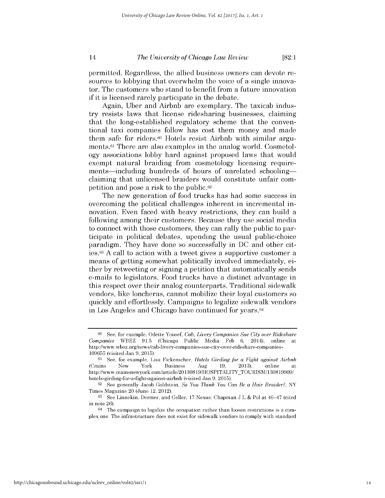permitted. Regardless, the allied business owners can devote resources to lobbying that overwhelm the voice of a single innovator. The customers who stand to benefit from a future innovation if it is licensed rarely participate in the debate.

Again, Uber and Airbnb are exemplary. The taxicab industry resists laws that license ridesharing businesses, claiming that the long-established regulatory scheme that the conventional taxi companies follow has cost them money and made them safe for riders.60 Hotels resist Airbnb with similar arguments.<sup>61</sup> There are also examples in the analog world. Cosmetology associations lobby hard against proposed laws that would exempt natural braiding from cosmetology licensing requirements—including hundreds of hours of unrelated schooling claiming that unlicensed braiders would constitute unfair competition and pose a risk to the public.62

The new generation of food trucks has had some success in overcoming the political challenges inherent in incremental innovation. Even faced with heavy restrictions, they can build a following among their customers. Because they use social media to connect with those customers, they can rally the public to participate in political debates, upending the usual public-choice paradigm. They have done so successfully in DC and other cities.<sup>6</sup> <sup>3</sup>A call to action with a tweet gives a supportive customer a means of getting somewhat politically involved immediately, either by retweeting or signing a petition that automatically sends e-mails to legislators. Food trucks have a distinct advantage in this respect over their analog counterparts. Traditional sidewalk vendors, like loncheras, cannot mobilize their loyal customers so quickly and effortlessly. Campaigns to legalize sidewalk vendors in Los Angeles and Chicago have continued for years.<sup>64</sup>

**<sup>60</sup>**See, for example, Odette Yousef, *Cab, Livery Companies Sue City over Rideshare Companies* WBEZ 91.5 (Chicago Public Media Feb 6, 2014), online at http://www.wbez.org/news/cab-livery-companies-sue-city-over-rideshare-companies-109655 (visited Jan 9, 2015).

<sup>&</sup>lt;sup>61</sup> See, for example, Lisa Fickenscher, *Hotels Girding for a Fight against Airbnb* (Crams New York Business Aug 19, 2013), online at http://www.crainsnewyork.com/article/20130819/HOSPITALITY\_TOURISM/130819909/ hotels-girding-for-a-fight-against-airbnb (visited Jan 9, 2015).

<sup>62</sup> See generally Jacob Goldstein, *So You Think You Can Be a Hair Braider?*, NY Times Magazine 20 (June 12, 2012).

<sup>63</sup> See Linnekin, Dermer, and Geller, 17 Nexus: Chapman J L & Pol at  $46-47$  (cited in note 26).

 $64$  The campaign to legalize the occupation rather than loosen restrictions is a complex one. The infrastructure does not exist for sidewalk vendors to comply with standard